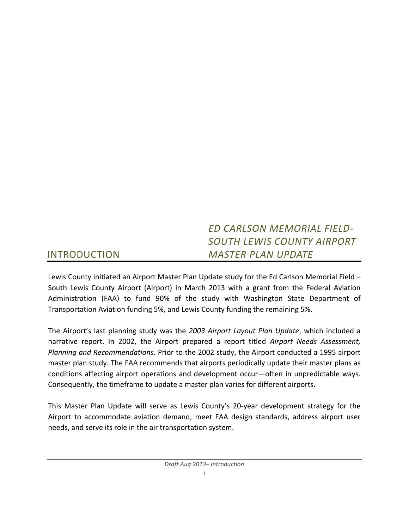# *ED CARLSON MEMORIAL FIELD‐ SOUTH LEWIS COUNTY AIRPORT MASTER PLAN UPDATE*

# INTRODUCTION

Lewis County initiated an Airport Master Plan Update study for the Ed Carlson Memorial Field – South Lewis County Airport (Airport) in March 2013 with a grant from the Federal Aviation Administration (FAA) to fund 90% of the study with Washington State Department of Transportation Aviation funding 5%, and Lewis County funding the remaining 5%.

The Airport's last planning study was the *2003 Airport Layout Plan Update*, which included a narrative report. In 2002, the Airport prepared a report titled *Airport Needs Assessment, Planning and Recommendations*. Prior to the 2002 study, the Airport conducted a 1995 airport master plan study. The FAA recommends that airports periodically update their master plans as conditions affecting airport operations and development occur—often in unpredictable ways. Consequently, the timeframe to update a master plan varies for different airports.

This Master Plan Update will serve as Lewis County's 20‐year development strategy for the Airport to accommodate aviation demand, meet FAA design standards, address airport user needs, and serve its role in the air transportation system.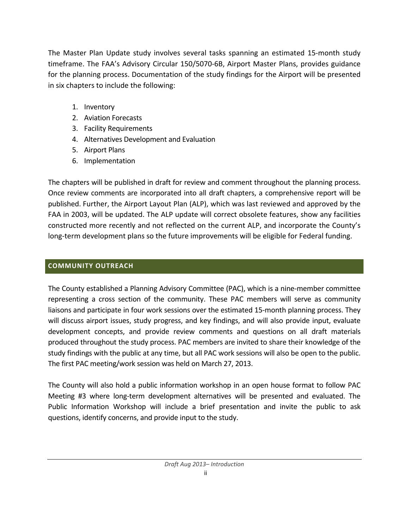The Master Plan Update study involves several tasks spanning an estimated 15‐month study timeframe. The FAA's Advisory Circular 150/5070‐6B, Airport Master Plans, provides guidance for the planning process. Documentation of the study findings for the Airport will be presented in six chapters to include the following:

- 1. Inventory
- 2. Aviation Forecasts
- 3. Facility Requirements
- 4. Alternatives Development and Evaluation
- 5. Airport Plans
- 6. Implementation

The chapters will be published in draft for review and comment throughout the planning process. Once review comments are incorporated into all draft chapters, a comprehensive report will be published. Further, the Airport Layout Plan (ALP), which was last reviewed and approved by the FAA in 2003, will be updated. The ALP update will correct obsolete features, show any facilities constructed more recently and not reflected on the current ALP, and incorporate the County's long-term development plans so the future improvements will be eligible for Federal funding.

## **COMMUNITY OUTREACH**

The County established a Planning Advisory Committee (PAC), which is a nine‐member committee representing a cross section of the community. These PAC members will serve as community liaisons and participate in four work sessions over the estimated 15‐month planning process. They will discuss airport issues, study progress, and key findings, and will also provide input, evaluate development concepts, and provide review comments and questions on all draft materials produced throughout the study process. PAC members are invited to share their knowledge of the study findings with the public at any time, but all PAC work sessions will also be open to the public. The first PAC meeting/work session was held on March 27, 2013.

The County will also hold a public information workshop in an open house format to follow PAC Meeting #3 where long‐term development alternatives will be presented and evaluated. The Public Information Workshop will include a brief presentation and invite the public to ask questions, identify concerns, and provide input to the study.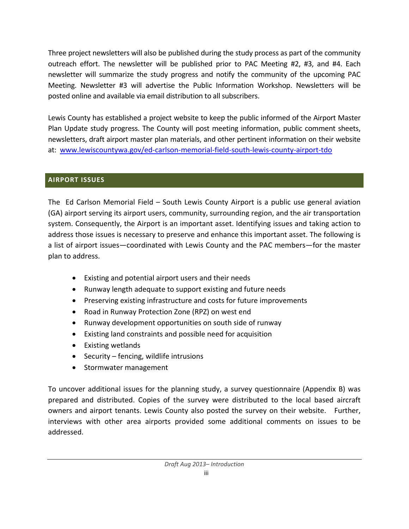Three project newsletters will also be published during the study process as part of the community outreach effort. The newsletter will be published prior to PAC Meeting #2, #3, and #4. Each newsletter will summarize the study progress and notify the community of the upcoming PAC Meeting. Newsletter #3 will advertise the Public Information Workshop. Newsletters will be posted online and available via email distribution to all subscribers.

Lewis County has established a project website to keep the public informed of the Airport Master Plan Update study progress. The County will post meeting information, public comment sheets, newsletters, draft airport master plan materials, and other pertinent information on their website at: www.lewiscountywa.gov/ed-carlson-memorial-field-south-lewis-county-airport-tdo

### **AIRPORT ISSUES**

The Ed Carlson Memorial Field – South Lewis County Airport is a public use general aviation (GA) airport serving its airport users, community, surrounding region, and the air transportation system. Consequently, the Airport is an important asset. Identifying issues and taking action to address those issues is necessary to preserve and enhance this important asset. The following is a list of airport issues—coordinated with Lewis County and the PAC members—for the master plan to address.

- Existing and potential airport users and their needs
- Runway length adequate to support existing and future needs
- Preserving existing infrastructure and costs for future improvements
- Road in Runway Protection Zone (RPZ) on west end
- Runway development opportunities on south side of runway
- Existing land constraints and possible need for acquisition
- Existing wetlands
- $\bullet$  Security fencing, wildlife intrusions
- Stormwater management

To uncover additional issues for the planning study, a survey questionnaire (Appendix B) was prepared and distributed. Copies of the survey were distributed to the local based aircraft owners and airport tenants. Lewis County also posted the survey on their website. Further, interviews with other area airports provided some additional comments on issues to be addressed.